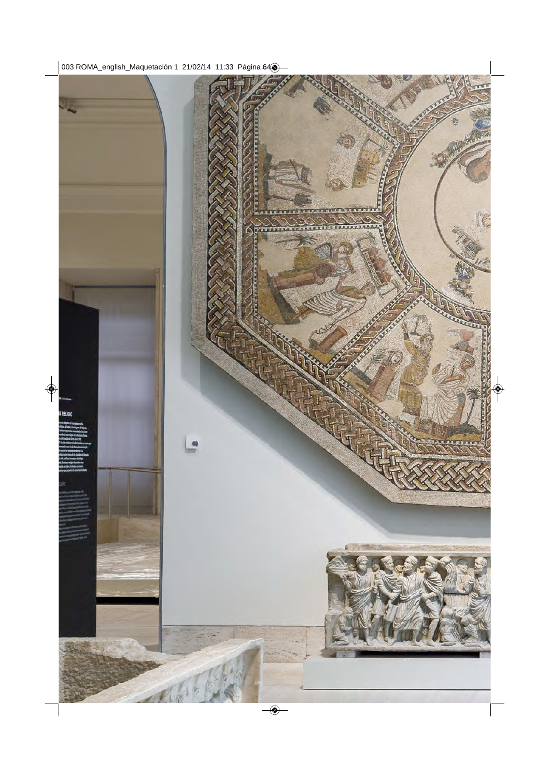

 $\overline{\phantom{a}}$ 

CASE A

**THE STATES** 

 $\frac{1}{\sqrt{2}}$ 

**ARCHITECT** 

**TERRIT**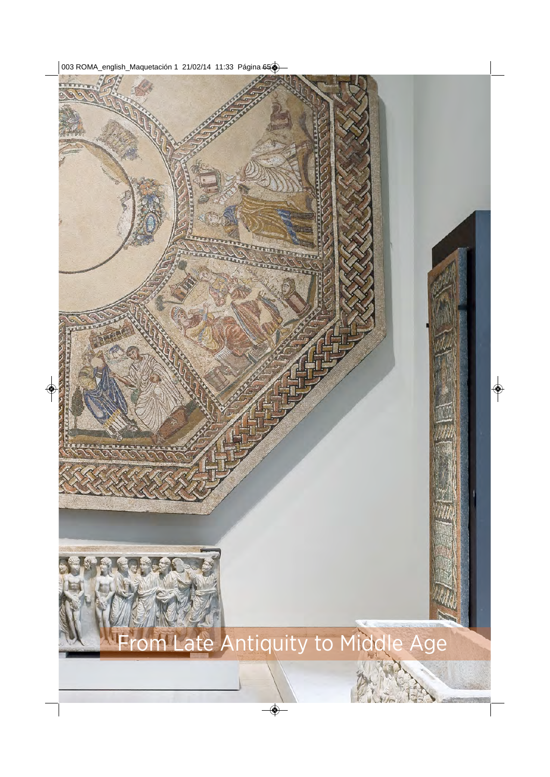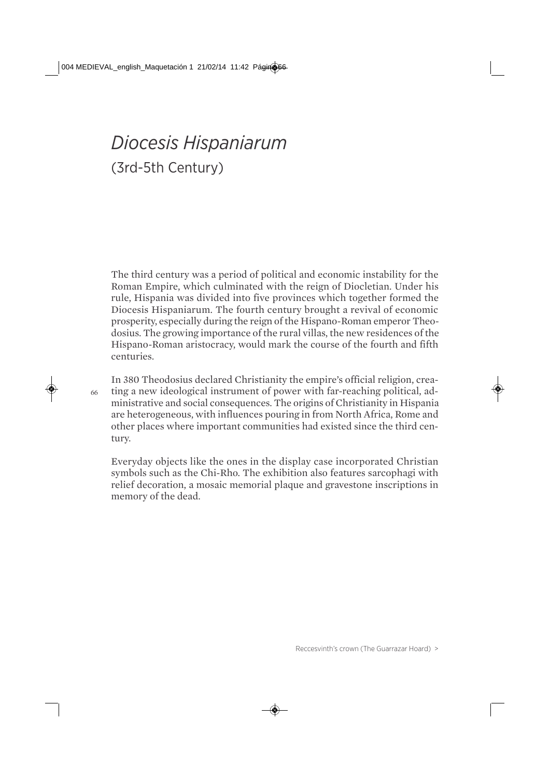## *Diocesis Hispaniarum* (3rd-5th Century)

The third century was a period of political and economic instability for the Roman Empire, which culminated with the reign of Diocletian. Under his rule, Hispania was divided into five provinces which together formed the Diocesis Hispaniarum. The fourth century brought a revival of economic prosperity, especially during the reign of the Hispano-Roman emperor Theodosius. The growing importance of the rural villas, the new residences of the Hispano-Roman aristocracy, would mark the course of the fourth and fifth centuries.

66

In 380 Theodosius declared Christianity the empire's official religion, creating a new ideological instrument of power with far-reaching political, administrative and social consequences. The origins of Christianity in Hispania are heterogeneous, with influences pouring in from North Africa, Rome and other places where important communities had existed since the third century.

Everyday objects like the ones in the display case incorporated Christian symbols such as the Chi-Rho. The exhibition also features sarcophagi with relief decoration, a mosaic memorial plaque and gravestone inscriptions in memory of the dead.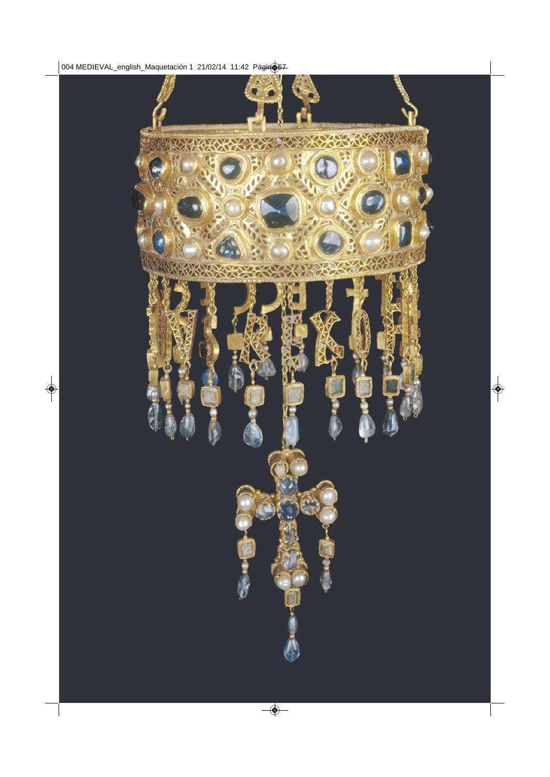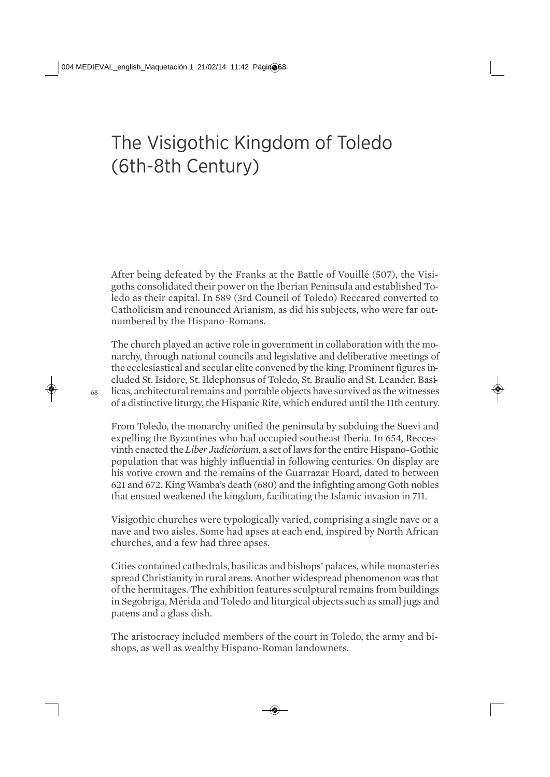## The Visigothic Kingdom of Toledo (6th-8th Century)

After being defeated by the Franks at the Battle of Vouillé (507), the Visigoths consolidated their power on the Iberian Peninsula and established Toledo as their capital. In 589 (3rd Council of Toledo) Reccared converted to Catholicism and renounced Arianism, as did his subjects, who were far outnumbered by the Hispano-Romans.

The church played an active role in government in collaboration with the monarchy, through national councils and legislative and deliberative meetings of the ecclesiastical and secular elite convened by the king. Prominent figures included St. Isidore, St. Ildephonsus of Toledo, St. Braulio and St. Leander. Basilicas, architectural remains and portable objects have survived as the witnesses of a distinctive liturgy, the Hispanic Rite, which endured until the 11th century.

From Toledo, the monarchy unified the peninsula by subduing the Suevi and expelling the Byzantines who had occupied southeast Iberia. In 654, Reccesvinth enacted the *Liber Judiciorium*, a set of laws for the entire Hispano-Gothic population that was highly influential in following centuries. On display are his votive crown and the remains of the Guarrazar Hoard, dated to between 621 and 672. King Wamba's death (680) and the infighting among Goth nobles that ensued weakened the kingdom, facilitating the Islamic invasion in 711.

Visigothic churches were typologically varied, comprising a single nave or a nave and two aisles. Some had apses at each end, inspired by North African churches, and a few had three apses.

Cities contained cathedrals, basilicas and bishops' palaces, while monasteries spread Christianity in rural areas. Another widespread phenomenon was that of the hermitages. The exhibition features sculptural remains from buildings in Segobriga, Mérida and Toledo and liturgical objects such as small jugs and patens and a glass dish.

The aristocracy included members of the court in Toledo, the army and bishops, as well as wealthy Hispano-Roman landowners.

68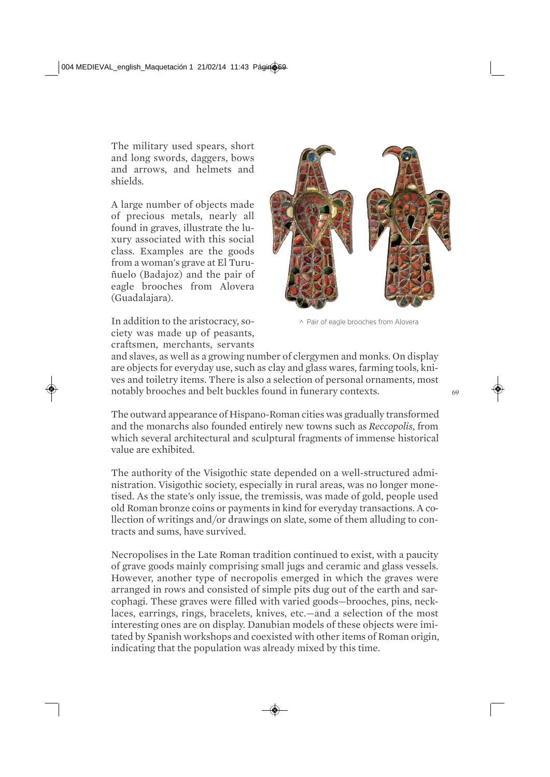The military used spears, short and long swords, daggers, bows and arrows, and helmets and shields.

A large number of objects made of precious metals, nearly all found in graves, illustrate the luxury associated with this social class. Examples are the goods from a woman's grave at El Turuñuelo (Badajoz) and the pair of eagle brooches from Alovera (Guadalajara).

In addition to the aristocracy, society was made up of peasants, craftsmen, merchants, servants



Pair of eagle brooches from Alovera <

and slaves, as well as a growing number of clergymen and monks. On display are objects for everyday use, such as clay and glass wares, farming tools, knives and toiletry items. There is also a selection of personal ornaments, most notably brooches and belt buckles found in funerary contexts.

The outward appearance of Hispano-Roman cities was gradually transformed and the monarchs also founded entirely new towns such as *Reccopolis*, from which several architectural and sculptural fragments of immense historical value are exhibited.

The authority of the Visigothic state depended on a well-structured administration. Visigothic society, especially in rural areas, was no longer monetised. As the state's only issue, the tremissis, was made of gold, people used old Roman bronze coins or payments in kind for everyday transactions. A collection of writings and/or drawings on slate, some of them alluding to contracts and sums, have survived.

Necropolises in the Late Roman tradition continued to exist, with a paucity of grave goods mainly comprising small jugs and ceramic and glass vessels. However, another type of necropolis emerged in which the graves were arranged in rows and consisted of simple pits dug out of the earth and sarcophagi. These graves were filled with varied goods—brooches, pins, necklaces, earrings, rings, bracelets, knives, etc.—and a selection of the most interesting ones are on display. Danubian models of these objects were imitated by Spanish workshops and coexisted with other items of Roman origin, indicating that the population was already mixed by this time.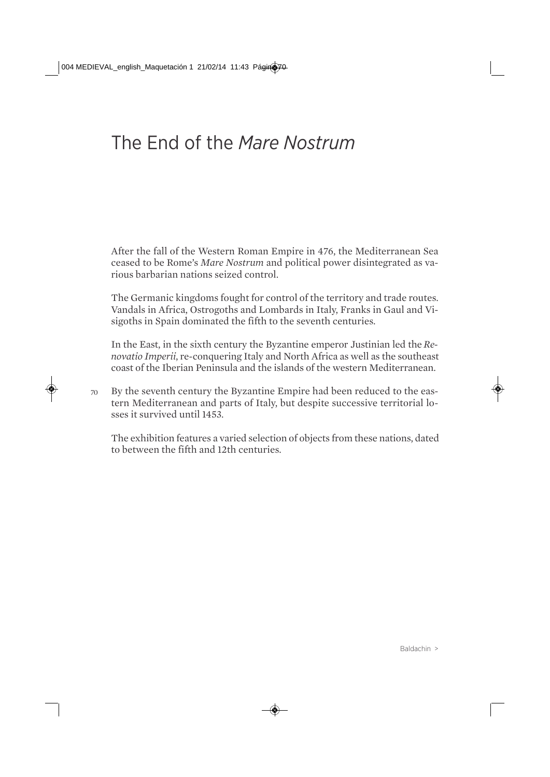## The End of the *Mare Nostrum*

After the fall of the Western Roman Empire in 476, the Mediterranean Sea ceased to be Rome's *Mare Nostrum* and political power disintegrated as various barbarian nations seized control.

The Germanic kingdoms fought for control of the territory and trade routes. Vandals in Africa, Ostrogoths and Lombards in Italy, Franks in Gaul and Visigoths in Spain dominated the fifth to the seventh centuries.

In the East, in the sixth century the Byzantine emperor Justinian led the *Renovatio Imperii*, re-conquering Italy and North Africa as well as the southeast coast of the Iberian Peninsula and the islands of the western Mediterranean.

70 By the seventh century the Byzantine Empire had been reduced to the eastern Mediterranean and parts of Italy, but despite successive territorial losses it survived until 1453.

The exhibition features a varied selection of objects from these nations, dated to between the fifth and 12th centuries.